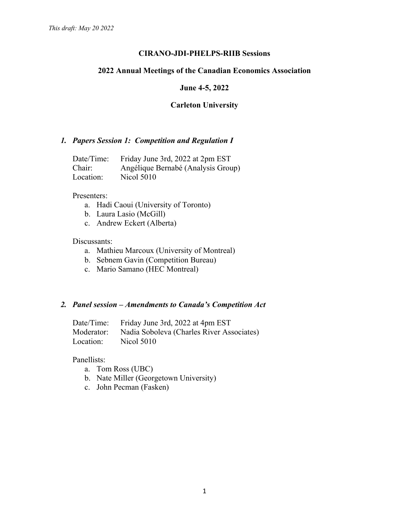### **CIRANO-JDI-PHELPS-RIIB Sessions**

#### **2022 Annual Meetings of the Canadian Economics Association**

**June 4-5, 2022**

#### **Carleton University**

#### *1. Papers Session 1: Competition and Regulation I*

| Date/Time: | Friday June 3rd, 2022 at 2pm EST   |
|------------|------------------------------------|
| Chair:     | Angélique Bernabé (Analysis Group) |
| Location:  | <b>Nicol 5010</b>                  |

#### Presenters:

- a. Hadi Caoui (University of Toronto)
- b. Laura Lasio (McGill)
- c. Andrew Eckert (Alberta)

### Discussants:

- a. Mathieu Marcoux (University of Montreal)
- b. Sebnem Gavin (Competition Bureau)
- c. Mario Samano (HEC Montreal)

### *2. Panel session – Amendments to Canada's Competition Act*

| Date/Time: | Friday June 3rd, 2022 at 4pm EST          |
|------------|-------------------------------------------|
| Moderator: | Nadia Soboleva (Charles River Associates) |
| Location:  | <b>Nicol 5010</b>                         |

Panellists:

- a. Tom Ross (UBC)
- b. Nate Miller (Georgetown University)
- c. John Pecman (Fasken)